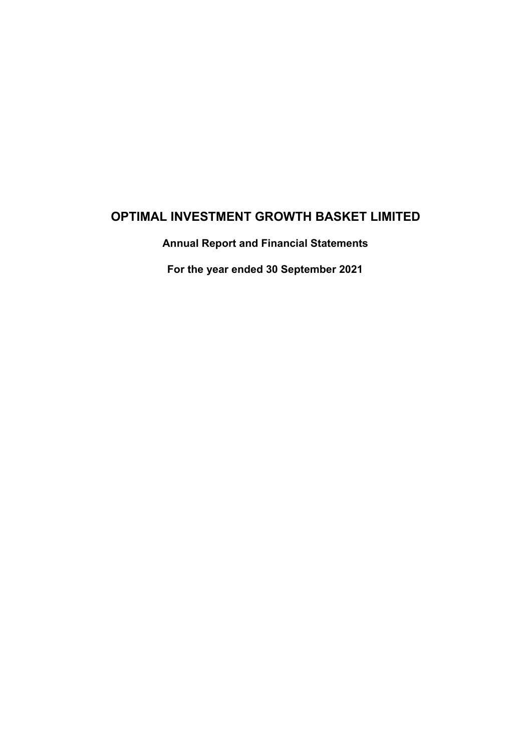**Annual Report and Financial Statements**

**For the year ended 30 September 2021**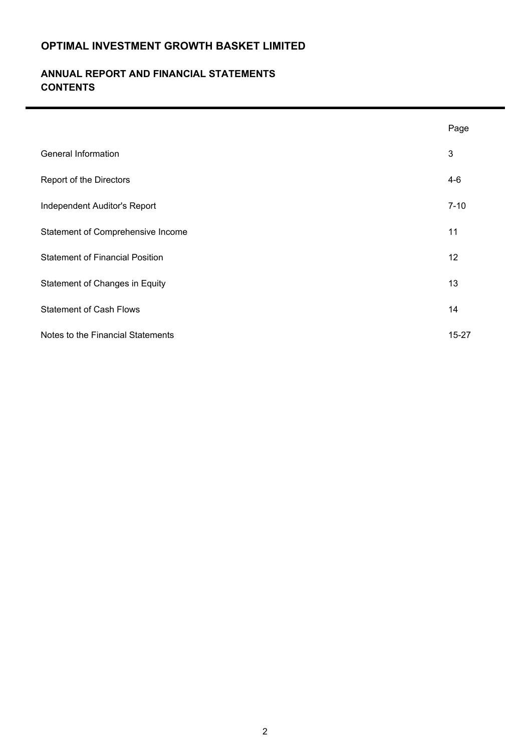# **ANNUAL REPORT AND FINANCIAL STATEMENTS CONTENTS**

|                                        | Page      |
|----------------------------------------|-----------|
| General Information                    | 3         |
| Report of the Directors                | 4-6       |
| Independent Auditor's Report           | $7 - 10$  |
| Statement of Comprehensive Income      | 11        |
| <b>Statement of Financial Position</b> | 12        |
| Statement of Changes in Equity         | 13        |
| <b>Statement of Cash Flows</b>         | 14        |
| Notes to the Financial Statements      | $15 - 27$ |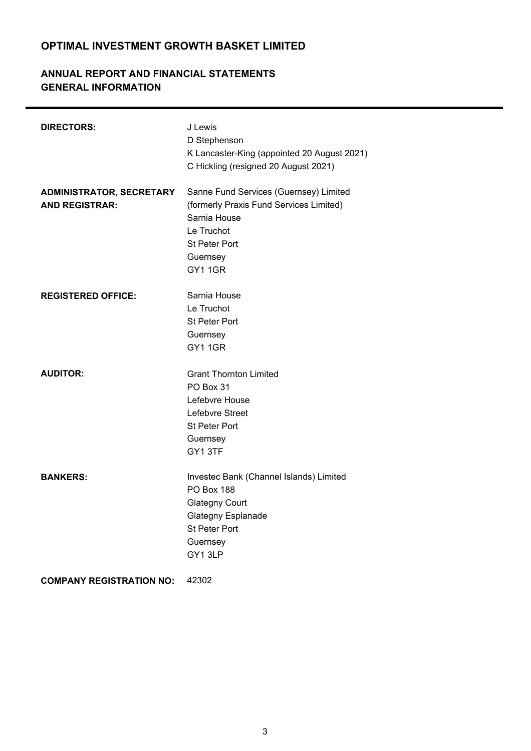# **ANNUAL REPORT AND FINANCIAL STATEMENTS GENERAL INFORMATION**

| <b>DIRECTORS:</b>                                        | J Lewis<br>D Stephenson<br>K Lancaster-King (appointed 20 August 2021)<br>C Hickling (resigned 20 August 2021)                                                       |
|----------------------------------------------------------|----------------------------------------------------------------------------------------------------------------------------------------------------------------------|
| <b>ADMINISTRATOR, SECRETARY</b><br><b>AND REGISTRAR:</b> | Sanne Fund Services (Guernsey) Limited<br>(formerly Praxis Fund Services Limited)<br>Sarnia House<br>Le Truchot<br><b>St Peter Port</b><br>Guernsey<br><b>GY11GR</b> |
| <b>REGISTERED OFFICE:</b>                                | Sarnia House<br>Le Truchot<br>St Peter Port<br>Guernsey<br>GY11GR                                                                                                    |
| <b>AUDITOR:</b>                                          | <b>Grant Thornton Limited</b><br>PO Box 31<br>Lefebvre House<br>Lefebvre Street<br><b>St Peter Port</b><br>Guernsey<br>GY13TF                                        |
| <b>BANKERS:</b>                                          | Investec Bank (Channel Islands) Limited<br><b>PO Box 188</b><br><b>Glategny Court</b><br>Glategny Esplanade<br><b>St Peter Port</b><br>Guernsey<br>GY13LP            |
| <b>COMPANY REGISTRATION NO:</b>                          | 42302                                                                                                                                                                |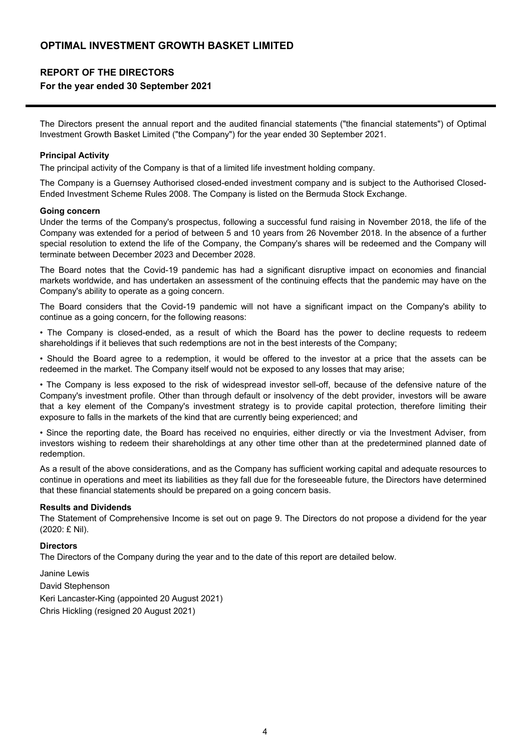# **REPORT OF THE DIRECTORS For the year ended 30 September 2021**

The Directors present the annual report and the audited financial statements ("the financial statements") of Optimal Investment Growth Basket Limited ("the Company") for the year ended 30 September 2021.

## **Principal Activity**

The principal activity of the Company is that of a limited life investment holding company.

The Company is a Guernsey Authorised closed-ended investment company and is subject to the Authorised Closed-Ended Investment Scheme Rules 2008. The Company is listed on the Bermuda Stock Exchange.

#### **Going concern**

Under the terms of the Company's prospectus, following a successful fund raising in November 2018, the life of the Company was extended for a period of between 5 and 10 years from 26 November 2018. In the absence of a further special resolution to extend the life of the Company, the Company's shares will be redeemed and the Company will terminate between December 2023 and December 2028.

The Board notes that the Covid-19 pandemic has had a significant disruptive impact on economies and financial markets worldwide, and has undertaken an assessment of the continuing effects that the pandemic may have on the Company's ability to operate as a going concern.

The Board considers that the Covid-19 pandemic will not have a significant impact on the Company's ability to continue as a going concern, for the following reasons:

• The Company is closed-ended, as a result of which the Board has the power to decline requests to redeem shareholdings if it believes that such redemptions are not in the best interests of the Company;

• Should the Board agree to a redemption, it would be offered to the investor at a price that the assets can be redeemed in the market. The Company itself would not be exposed to any losses that may arise;

• The Company is less exposed to the risk of widespread investor sell-off, because of the defensive nature of the Company's investment profile. Other than through default or insolvency of the debt provider, investors will be aware that a key element of the Company's investment strategy is to provide capital protection, therefore limiting their exposure to falls in the markets of the kind that are currently being experienced; and

• Since the reporting date, the Board has received no enquiries, either directly or via the Investment Adviser, from investors wishing to redeem their shareholdings at any other time other than at the predetermined planned date of redemption.

As a result of the above considerations, and as the Company has sufficient working capital and adequate resources to continue in operations and meet its liabilities as they fall due for the foreseeable future, the Directors have determined that these financial statements should be prepared on a going concern basis.

#### **Results and Dividends**

The Statement of Comprehensive Income is set out on page 9. The Directors do not propose a dividend for the year (2020: £ Nil).

#### **Directors**

The Directors of the Company during the year and to the date of this report are detailed below.

Janine Lewis David Stephenson Keri Lancaster-King (appointed 20 August 2021) Chris Hickling (resigned 20 August 2021)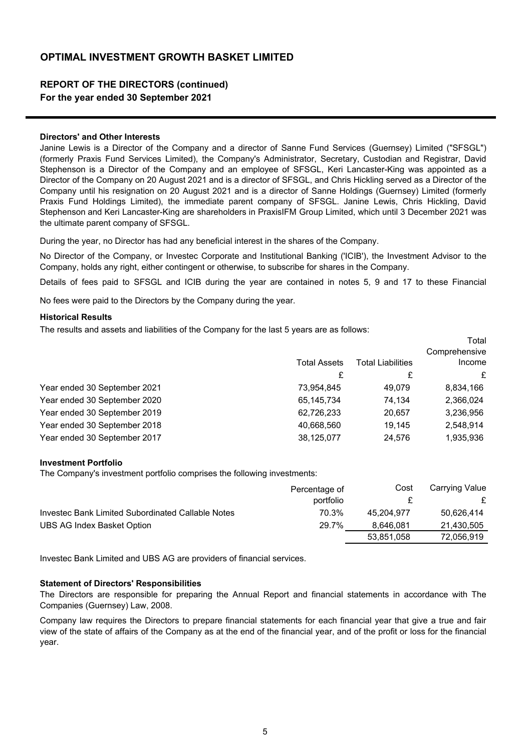## **REPORT OF THE DIRECTORS (continued) For the year ended 30 September 2021**

#### **Directors' and Other Interests**

Janine Lewis is a Director of the Company and a director of Sanne Fund Services (Guernsey) Limited ("SFSGL") (formerly Praxis Fund Services Limited), the Company's Administrator, Secretary, Custodian and Registrar, David Stephenson is a Director of the Company and an employee of SFSGL, Keri Lancaster-King was appointed as a Director of the Company on 20 August 2021 and is a director of SFSGL, and Chris Hickling served as a Director of the Company until his resignation on 20 August 2021 and is a director of Sanne Holdings (Guernsey) Limited (formerly Praxis Fund Holdings Limited), the immediate parent company of SFSGL. Janine Lewis, Chris Hickling, David Stephenson and Keri Lancaster-King are shareholders in PraxisIFM Group Limited, which until 3 December 2021 was the ultimate parent company of SFSGL.

During the year, no Director has had any beneficial interest in the shares of the Company.

No Director of the Company, or Investec Corporate and Institutional Banking ('ICIB'), the Investment Advisor to the Company, holds any right, either contingent or otherwise, to subscribe for shares in the Company.

Details of fees paid to SFSGL and ICIB during the year are contained in notes 5, 9 and 17 to these Financial

No fees were paid to the Directors by the Company during the year.

#### **Historical Results**

The results and assets and liabilities of the Company for the last 5 years are as follows:

|                              |                     |                   | Total<br>Comprehensive |
|------------------------------|---------------------|-------------------|------------------------|
|                              | <b>Total Assets</b> | Total Liabilities | Income                 |
|                              | £                   | £                 | £                      |
| Year ended 30 September 2021 | 73,954,845          | 49,079            | 8,834,166              |
| Year ended 30 September 2020 | 65,145,734          | 74,134            | 2,366,024              |
| Year ended 30 September 2019 | 62,726,233          | 20,657            | 3,236,956              |
| Year ended 30 September 2018 | 40,668,560          | 19.145            | 2,548,914              |
| Year ended 30 September 2017 | 38,125,077          | 24,576            | 1,935,936              |

#### **Investment Portfolio**

The Company's investment portfolio comprises the following investments:

|                                                   | Percentage of | Cost       | Carrying Value |
|---------------------------------------------------|---------------|------------|----------------|
|                                                   | portfolio     |            |                |
| Investec Bank Limited Subordinated Callable Notes | 70.3%         | 45.204.977 | 50.626.414     |
| UBS AG Index Basket Option                        | 29.7%         | 8.646.081  | 21,430,505     |
|                                                   |               | 53,851,058 | 72,056,919     |

Investec Bank Limited and UBS AG are providers of financial services.

#### **Statement of Directors' Responsibilities**

The Directors are responsible for preparing the Annual Report and financial statements in accordance with The Companies (Guernsey) Law, 2008.

Company law requires the Directors to prepare financial statements for each financial year that give a true and fair view of the state of affairs of the Company as at the end of the financial year, and of the profit or loss for the financial year.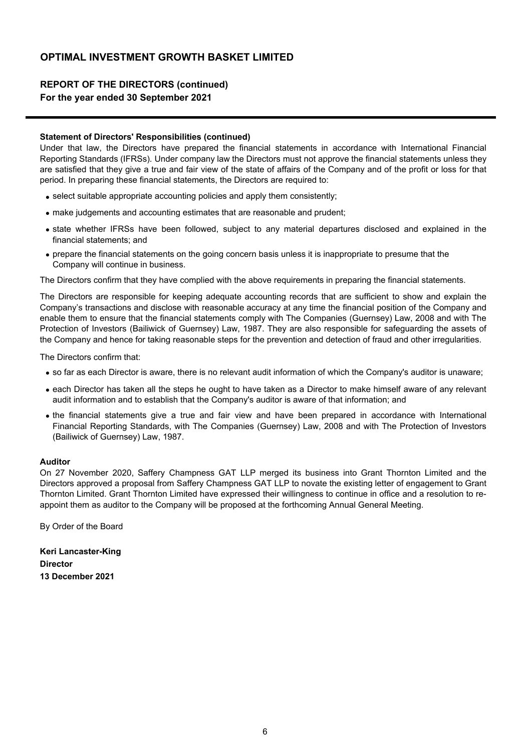## **REPORT OF THE DIRECTORS (continued) For the year ended 30 September 2021**

#### **Statement of Directors' Responsibilities (continued)**

Under that law, the Directors have prepared the financial statements in accordance with International Financial Reporting Standards (IFRSs). Under company law the Directors must not approve the financial statements unless they are satisfied that they give a true and fair view of the state of affairs of the Company and of the profit or loss for that period. In preparing these financial statements, the Directors are required to:

- select suitable appropriate accounting policies and apply them consistently;
- make judgements and accounting estimates that are reasonable and prudent;
- state whether IFRSs have been followed, subject to any material departures disclosed and explained in the financial statements; and
- prepare the financial statements on the going concern basis unless it is inappropriate to presume that the Company will continue in business.

The Directors confirm that they have complied with the above requirements in preparing the financial statements.

The Directors are responsible for keeping adequate accounting records that are sufficient to show and explain the Company's transactions and disclose with reasonable accuracy at any time the financial position of the Company and enable them to ensure that the financial statements comply with The Companies (Guernsey) Law, 2008 and with The Protection of Investors (Bailiwick of Guernsey) Law, 1987. They are also responsible for safeguarding the assets of the Company and hence for taking reasonable steps for the prevention and detection of fraud and other irregularities.

The Directors confirm that:

- so far as each Director is aware, there is no relevant audit information of which the Company's auditor is unaware;
- each Director has taken all the steps he ought to have taken as a Director to make himself aware of any relevant audit information and to establish that the Company's auditor is aware of that information; and
- the financial statements give a true and fair view and have been prepared in accordance with International Financial Reporting Standards, with The Companies (Guernsey) Law, 2008 and with The Protection of Investors (Bailiwick of Guernsey) Law, 1987.

#### **Auditor**

On 27 November 2020, Saffery Champness GAT LLP merged its business into Grant Thornton Limited and the Directors approved a proposal from Saffery Champness GAT LLP to novate the existing letter of engagement to Grant Thornton Limited. Grant Thornton Limited have expressed their willingness to continue in office and a resolution to reappoint them as auditor to the Company will be proposed at the forthcoming Annual General Meeting.

By Order of the Board

**Keri Lancaster-King Director 13 December 2021**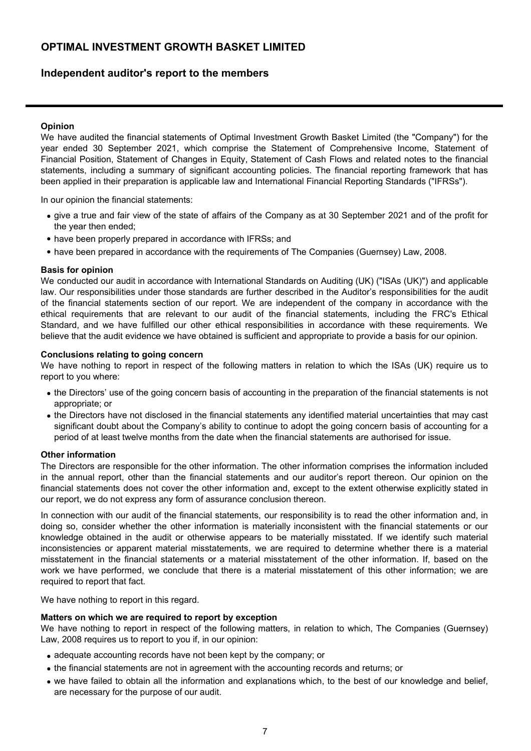# **Independent auditor's report to the members**

## **Opinion**

We have audited the financial statements of Optimal Investment Growth Basket Limited (the "Company") for the year ended 30 September 2021, which comprise the Statement of Comprehensive Income, Statement of Financial Position, Statement of Changes in Equity, Statement of Cash Flows and related notes to the financial statements, including a summary of significant accounting policies. The financial reporting framework that has been applied in their preparation is applicable law and International Financial Reporting Standards ("IFRSs").

In our opinion the financial statements:

- give a true and fair view of the state of affairs of the Company as at 30 September 2021 and of the profit for the year then ended;
- have been properly prepared in accordance with IFRSs; and
- have been prepared in accordance with the requirements of The Companies (Guernsey) Law, 2008.

#### **Basis for opinion**

We conducted our audit in accordance with International Standards on Auditing (UK) ("ISAs (UK)") and applicable law. Our responsibilities under those standards are further described in the Auditor's responsibilities for the audit of the financial statements section of our report. We are independent of the company in accordance with the ethical requirements that are relevant to our audit of the financial statements, including the FRC's Ethical Standard, and we have fulfilled our other ethical responsibilities in accordance with these requirements. We believe that the audit evidence we have obtained is sufficient and appropriate to provide a basis for our opinion.

## **Conclusions relating to going concern**

We have nothing to report in respect of the following matters in relation to which the ISAs (UK) require us to report to you where:

- the Directors' use of the going concern basis of accounting in the preparation of the financial statements is not appropriate; or
- the Directors have not disclosed in the financial statements any identified material uncertainties that may cast significant doubt about the Company's ability to continue to adopt the going concern basis of accounting for a period of at least twelve months from the date when the financial statements are authorised for issue.

#### **Other information**

The Directors are responsible for the other information. The other information comprises the information included in the annual report, other than the financial statements and our auditor's report thereon. Our opinion on the financial statements does not cover the other information and, except to the extent otherwise explicitly stated in our report, we do not express any form of assurance conclusion thereon.

In connection with our audit of the financial statements, our responsibility is to read the other information and, in doing so, consider whether the other information is materially inconsistent with the financial statements or our knowledge obtained in the audit or otherwise appears to be materially misstated. If we identify such material inconsistencies or apparent material misstatements, we are required to determine whether there is a material misstatement in the financial statements or a material misstatement of the other information. If, based on the work we have performed, we conclude that there is a material misstatement of this other information; we are required to report that fact.

We have nothing to report in this regard.

#### **Matters on which we are required to report by exception**

We have nothing to report in respect of the following matters, in relation to which, The Companies (Guernsey) Law, 2008 requires us to report to you if, in our opinion:

- adequate accounting records have not been kept by the company; or
- the financial statements are not in agreement with the accounting records and returns; or
- we have failed to obtain all the information and explanations which, to the best of our knowledge and belief, are necessary for the purpose of our audit.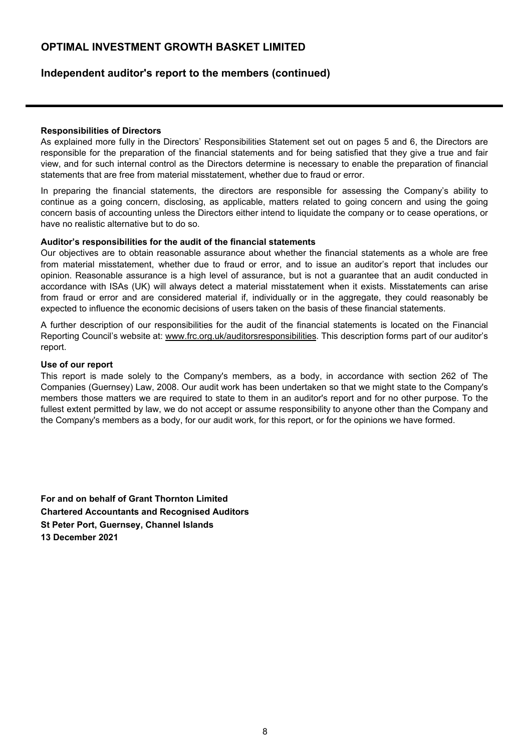# **Independent auditor's report to the members (continued)**

## **Responsibilities of Directors**

As explained more fully in the Directors' Responsibilities Statement set out on pages 5 and 6, the Directors are responsible for the preparation of the financial statements and for being satisfied that they give a true and fair view, and for such internal control as the Directors determine is necessary to enable the preparation of financial statements that are free from material misstatement, whether due to fraud or error.

In preparing the financial statements, the directors are responsible for assessing the Company's ability to continue as a going concern, disclosing, as applicable, matters related to going concern and using the going concern basis of accounting unless the Directors either intend to liquidate the company or to cease operations, or have no realistic alternative but to do so.

#### **Auditor's responsibilities for the audit of the financial statements**

Our objectives are to obtain reasonable assurance about whether the financial statements as a whole are free from material misstatement, whether due to fraud or error, and to issue an auditor's report that includes our opinion. Reasonable assurance is a high level of assurance, but is not a guarantee that an audit conducted in accordance with ISAs (UK) will always detect a material misstatement when it exists. Misstatements can arise from fraud or error and are considered material if, individually or in the aggregate, they could reasonably be expected to influence the economic decisions of users taken on the basis of these financial statements.

A further description of our responsibilities for the audit of the financial statements is located on the Financial Reporting Council's website at: www.frc.org.uk/auditorsresponsibilities. This description forms part of our auditor's report.

#### **Use of our report**

This report is made solely to the Company's members, as a body, in accordance with section 262 of The Companies (Guernsey) Law, 2008. Our audit work has been undertaken so that we might state to the Company's members those matters we are required to state to them in an auditor's report and for no other purpose. To the fullest extent permitted by law, we do not accept or assume responsibility to anyone other than the Company and the Company's members as a body, for our audit work, for this report, or for the opinions we have formed.

**For and on behalf of Grant Thornton Limited Chartered Accountants and Recognised Auditors St Peter Port, Guernsey, Channel Islands 13 December 2021**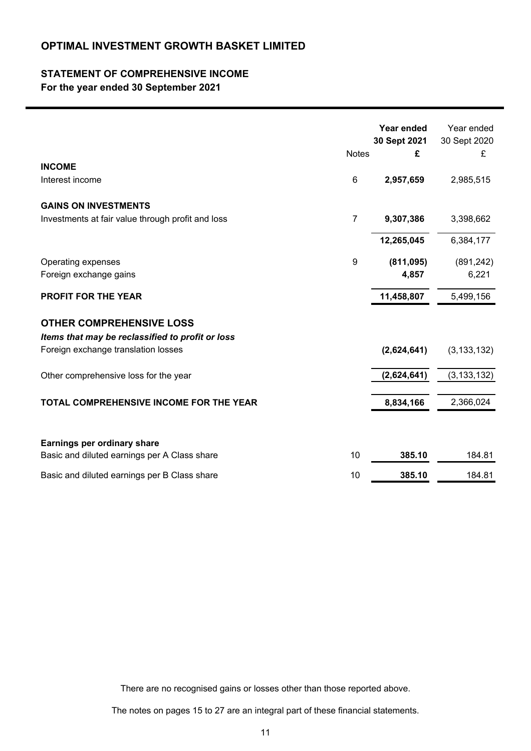# **STATEMENT OF COMPREHENSIVE INCOME For the year ended 30 September 2021**

|                                                                                     | <b>Notes</b> | Year ended<br>30 Sept 2021<br>£ | Year ended<br>30 Sept 2020<br>£ |
|-------------------------------------------------------------------------------------|--------------|---------------------------------|---------------------------------|
| <b>INCOME</b>                                                                       |              |                                 |                                 |
| Interest income                                                                     | 6            | 2,957,659                       | 2,985,515                       |
| <b>GAINS ON INVESTMENTS</b>                                                         |              |                                 |                                 |
| Investments at fair value through profit and loss                                   | 7            | 9,307,386                       | 3,398,662                       |
|                                                                                     |              | 12,265,045                      | 6,384,177                       |
| Operating expenses                                                                  | 9            | (811,095)                       | (891, 242)                      |
| Foreign exchange gains                                                              |              | 4,857                           | 6,221                           |
| <b>PROFIT FOR THE YEAR</b>                                                          |              | 11,458,807                      | 5,499,156                       |
| <b>OTHER COMPREHENSIVE LOSS</b><br>Items that may be reclassified to profit or loss |              |                                 |                                 |
| Foreign exchange translation losses                                                 |              | (2,624,641)                     | (3, 133, 132)                   |
| Other comprehensive loss for the year                                               |              | (2,624,641)                     | (3, 133, 132)                   |
| TOTAL COMPREHENSIVE INCOME FOR THE YEAR                                             |              | 8,834,166                       | 2,366,024                       |
| Earnings per ordinary share                                                         |              |                                 |                                 |
| Basic and diluted earnings per A Class share                                        | 10           | 385.10                          | 184.81                          |
| Basic and diluted earnings per B Class share                                        | 10           | 385.10                          | 184.81                          |

There are no recognised gains or losses other than those reported above.

The notes on pages 15 to 27 are an integral part of these financial statements.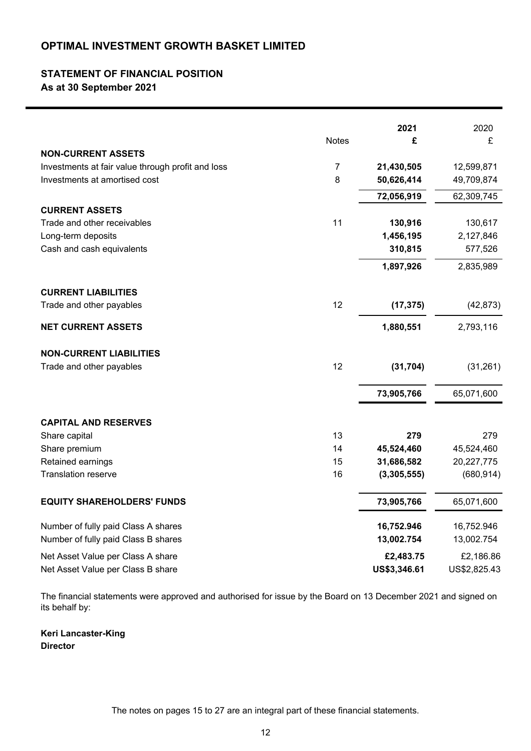# **STATEMENT OF FINANCIAL POSITION As at 30 September 2021**

|                                                                        | <b>Notes</b>   | 2021<br>£                 | 2020<br>£                 |
|------------------------------------------------------------------------|----------------|---------------------------|---------------------------|
| <b>NON-CURRENT ASSETS</b>                                              |                |                           |                           |
| Investments at fair value through profit and loss                      | $\overline{7}$ | 21,430,505                | 12,599,871                |
| Investments at amortised cost                                          | 8              | 50,626,414                | 49,709,874                |
|                                                                        |                | 72,056,919                | 62,309,745                |
| <b>CURRENT ASSETS</b>                                                  |                |                           |                           |
| Trade and other receivables                                            | 11             | 130,916                   | 130,617                   |
| Long-term deposits                                                     |                | 1,456,195                 | 2,127,846                 |
| Cash and cash equivalents                                              |                | 310,815                   | 577,526                   |
|                                                                        |                | 1,897,926                 | 2,835,989                 |
| <b>CURRENT LIABILITIES</b>                                             |                |                           |                           |
| Trade and other payables                                               | 12             | (17, 375)                 | (42, 873)                 |
| <b>NET CURRENT ASSETS</b>                                              |                | 1,880,551                 | 2,793,116                 |
| <b>NON-CURRENT LIABILITIES</b>                                         |                |                           |                           |
| Trade and other payables                                               | 12             | (31, 704)                 | (31, 261)                 |
|                                                                        |                | 73,905,766                | 65,071,600                |
| <b>CAPITAL AND RESERVES</b>                                            |                |                           |                           |
| Share capital                                                          | 13             | 279                       | 279                       |
| Share premium                                                          | 14             | 45,524,460                | 45,524,460                |
| Retained earnings                                                      | 15             | 31,686,582                | 20,227,775                |
| <b>Translation reserve</b>                                             | 16             | (3, 305, 555)             | (680, 914)                |
| <b>EQUITY SHAREHOLDERS' FUNDS</b>                                      |                | 73,905,766                | 65,071,600                |
| Number of fully paid Class A shares                                    |                | 16,752.946                | 16,752.946                |
| Number of fully paid Class B shares                                    |                | 13,002.754                | 13,002.754                |
| Net Asset Value per Class A share<br>Net Asset Value per Class B share |                | £2,483.75<br>US\$3,346.61 | £2,186.86<br>US\$2,825.43 |

The financial statements were approved and authorised for issue by the Board on 13 December 2021 and signed on its behalf by:

**Keri Lancaster-King Director**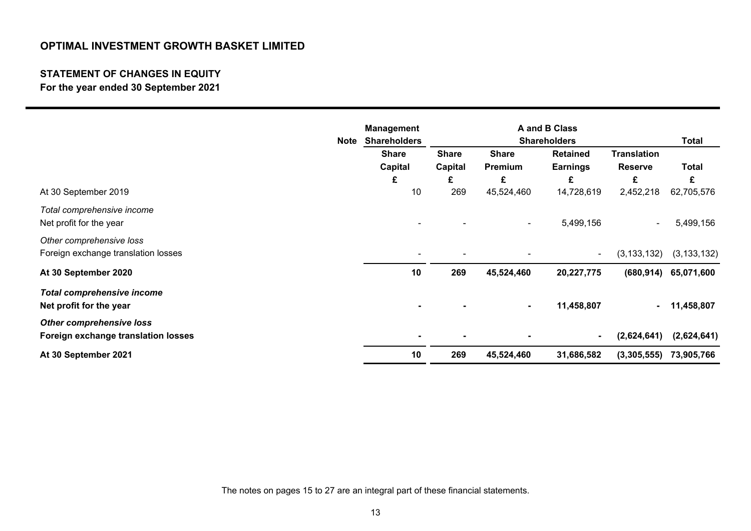# **STATEMENT OF CHANGES IN EQUITY**

**For the year ended 30 September 2021**

|                                                                        | <b>Note</b> | <b>Management</b><br><b>Shareholders</b> | A and B Class<br><b>Shareholders</b> |                                     | <b>Total</b>                            |                                           |                   |
|------------------------------------------------------------------------|-------------|------------------------------------------|--------------------------------------|-------------------------------------|-----------------------------------------|-------------------------------------------|-------------------|
|                                                                        |             | <b>Share</b><br><b>Capital</b><br>£      | <b>Share</b><br><b>Capital</b><br>£  | <b>Share</b><br><b>Premium</b><br>£ | <b>Retained</b><br><b>Earnings</b><br>£ | <b>Translation</b><br><b>Reserve</b><br>£ | <b>Total</b><br>£ |
| At 30 September 2019                                                   |             | 10                                       | 269                                  | 45,524,460                          | 14,728,619                              | 2,452,218                                 | 62,705,576        |
| Total comprehensive income<br>Net profit for the year                  |             |                                          |                                      | $\sim$                              | 5,499,156                               |                                           | 5,499,156         |
| Other comprehensive loss<br>Foreign exchange translation losses        |             |                                          |                                      |                                     | $\blacksquare$                          | (3, 133, 132)                             | (3, 133, 132)     |
| At 30 September 2020                                                   |             | 10                                       | 269                                  | 45,524,460                          | 20,227,775                              | (680, 914)                                | 65,071,600        |
| <b>Total comprehensive income</b><br>Net profit for the year           |             |                                          |                                      | $\blacksquare$                      | 11,458,807                              |                                           | 11,458,807        |
| <b>Other comprehensive loss</b><br>Foreign exchange translation losses |             | ۰.                                       |                                      |                                     | $\blacksquare$                          | (2,624,641)                               | (2,624,641)       |
| At 30 September 2021                                                   |             | 10                                       | 269                                  | 45,524,460                          | 31,686,582                              | (3,305,555)                               | 73,905,766        |

The notes on pages 15 to 27 are an integral part of these financial statements.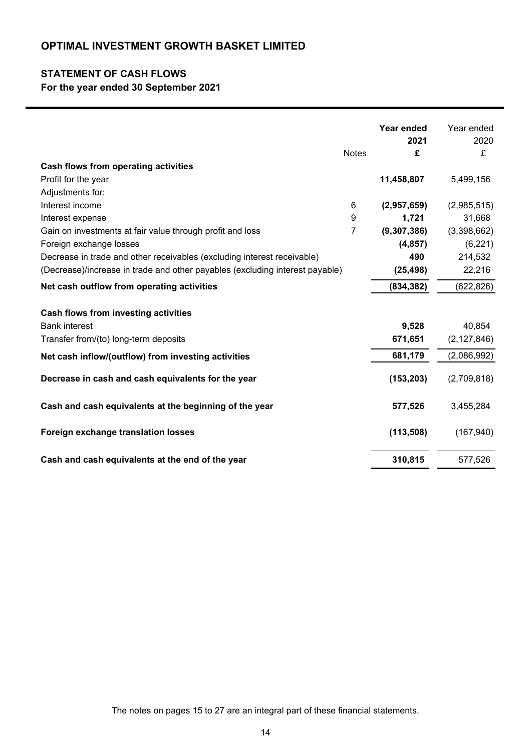# **STATEMENT OF CASH FLOWS**

**For the year ended 30 September 2021**

|                                                                              | <b>Notes</b> | Year ended<br>2021<br>£ | Year ended<br>2020<br>£ |
|------------------------------------------------------------------------------|--------------|-------------------------|-------------------------|
| <b>Cash flows from operating activities</b>                                  |              |                         |                         |
| Profit for the year                                                          |              | 11,458,807              | 5,499,156               |
| Adjustments for:                                                             |              |                         |                         |
| Interest income                                                              | 6            | (2,957,659)             | (2,985,515)             |
| Interest expense                                                             | 9            | 1,721                   | 31,668                  |
| Gain on investments at fair value through profit and loss                    | 7            | (9,307,386)             | (3,398,662)             |
| Foreign exchange losses                                                      |              | (4, 857)                | (6, 221)                |
| Decrease in trade and other receivables (excluding interest receivable)      |              | 490                     | 214,532                 |
| (Decrease)/increase in trade and other payables (excluding interest payable) |              | (25, 498)               | 22,216                  |
| Net cash outflow from operating activities                                   |              | (834, 382)              | (622, 826)              |
| Cash flows from investing activities                                         |              |                         |                         |
| <b>Bank interest</b>                                                         |              | 9,528                   | 40,854                  |
| Transfer from/(to) long-term deposits                                        |              | 671,651                 | (2, 127, 846)           |
| Net cash inflow/(outflow) from investing activities                          |              | 681,179                 | (2,086,992)             |
| Decrease in cash and cash equivalents for the year                           |              | (153, 203)              | (2,709,818)             |
| Cash and cash equivalents at the beginning of the year                       |              | 577,526                 | 3,455,284               |
| Foreign exchange translation losses                                          |              | (113,508)               | (167, 940)              |
| Cash and cash equivalents at the end of the year                             |              | 310,815                 | 577,526                 |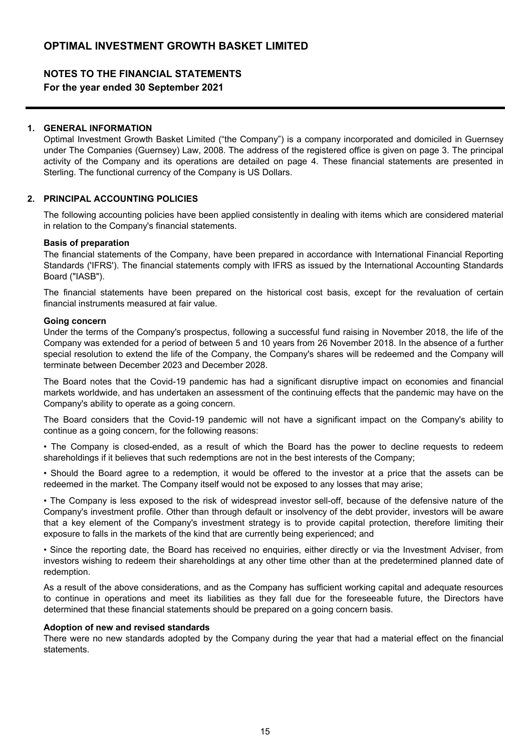## **NOTES TO THE FINANCIAL STATEMENTS For the year ended 30 September 2021**

## **1. GENERAL INFORMATION**

Optimal Investment Growth Basket Limited ("the Company") is a company incorporated and domiciled in Guernsey under The Companies (Guernsey) Law, 2008. The address of the registered office is given on page 3. The principal activity of the Company and its operations are detailed on page 4. These financial statements are presented in Sterling. The functional currency of the Company is US Dollars.

## **2. PRINCIPAL ACCOUNTING POLICIES**

The following accounting policies have been applied consistently in dealing with items which are considered material in relation to the Company's financial statements.

#### **Basis of preparation**

The financial statements of the Company, have been prepared in accordance with International Financial Reporting Standards ('IFRS'). The financial statements comply with IFRS as issued by the International Accounting Standards Board ("IASB").

The financial statements have been prepared on the historical cost basis, except for the revaluation of certain financial instruments measured at fair value.

#### **Going concern**

Under the terms of the Company's prospectus, following a successful fund raising in November 2018, the life of the Company was extended for a period of between 5 and 10 years from 26 November 2018. In the absence of a further special resolution to extend the life of the Company, the Company's shares will be redeemed and the Company will terminate between December 2023 and December 2028.

The Board notes that the Covid-19 pandemic has had a significant disruptive impact on economies and financial markets worldwide, and has undertaken an assessment of the continuing effects that the pandemic may have on the Company's ability to operate as a going concern.

The Board considers that the Covid-19 pandemic will not have a significant impact on the Company's ability to continue as a going concern, for the following reasons:

• The Company is closed-ended, as a result of which the Board has the power to decline requests to redeem shareholdings if it believes that such redemptions are not in the best interests of the Company;

• Should the Board agree to a redemption, it would be offered to the investor at a price that the assets can be redeemed in the market. The Company itself would not be exposed to any losses that may arise;

• The Company is less exposed to the risk of widespread investor sell-off, because of the defensive nature of the Company's investment profile. Other than through default or insolvency of the debt provider, investors will be aware that a key element of the Company's investment strategy is to provide capital protection, therefore limiting their exposure to falls in the markets of the kind that are currently being experienced; and

• Since the reporting date, the Board has received no enquiries, either directly or via the Investment Adviser, from investors wishing to redeem their shareholdings at any other time other than at the predetermined planned date of redemption.

As a result of the above considerations, and as the Company has sufficient working capital and adequate resources to continue in operations and meet its liabilities as they fall due for the foreseeable future, the Directors have determined that these financial statements should be prepared on a going concern basis.

#### **Adoption of new and revised standards**

There were no new standards adopted by the Company during the year that had a material effect on the financial statements.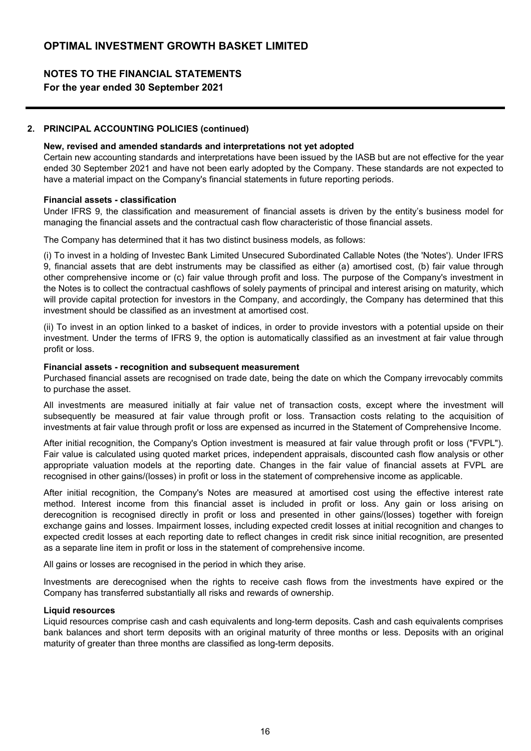# **NOTES TO THE FINANCIAL STATEMENTS For the year ended 30 September 2021**

## **2. PRINCIPAL ACCOUNTING POLICIES (continued)**

#### **New, revised and amended standards and interpretations not yet adopted**

Certain new accounting standards and interpretations have been issued by the IASB but are not effective for the year ended 30 September 2021 and have not been early adopted by the Company. These standards are not expected to have a material impact on the Company's financial statements in future reporting periods.

#### **Financial assets - classification**

Under IFRS 9, the classification and measurement of financial assets is driven by the entity's business model for managing the financial assets and the contractual cash flow characteristic of those financial assets.

The Company has determined that it has two distinct business models, as follows:

(i) To invest in a holding of Investec Bank Limited Unsecured Subordinated Callable Notes (the 'Notes'). Under IFRS 9, financial assets that are debt instruments may be classified as either (a) amortised cost, (b) fair value through other comprehensive income or (c) fair value through profit and loss. The purpose of the Company's investment in the Notes is to collect the contractual cashflows of solely payments of principal and interest arising on maturity, which will provide capital protection for investors in the Company, and accordingly, the Company has determined that this investment should be classified as an investment at amortised cost.

(ii) To invest in an option linked to a basket of indices, in order to provide investors with a potential upside on their investment. Under the terms of IFRS 9, the option is automatically classified as an investment at fair value through profit or loss.

#### **Financial assets - recognition and subsequent measurement**

Purchased financial assets are recognised on trade date, being the date on which the Company irrevocably commits to purchase the asset.

All investments are measured initially at fair value net of transaction costs, except where the investment will subsequently be measured at fair value through profit or loss. Transaction costs relating to the acquisition of investments at fair value through profit or loss are expensed as incurred in the Statement of Comprehensive Income.

After initial recognition, the Company's Option investment is measured at fair value through profit or loss ("FVPL"). Fair value is calculated using quoted market prices, independent appraisals, discounted cash flow analysis or other appropriate valuation models at the reporting date. Changes in the fair value of financial assets at FVPL are recognised in other gains/(losses) in profit or loss in the statement of comprehensive income as applicable.

After initial recognition, the Company's Notes are measured at amortised cost using the effective interest rate method. Interest income from this financial asset is included in profit or loss. Any gain or loss arising on derecognition is recognised directly in profit or loss and presented in other gains/(losses) together with foreign exchange gains and losses. Impairment losses, including expected credit losses at initial recognition and changes to expected credit losses at each reporting date to reflect changes in credit risk since initial recognition, are presented as a separate line item in profit or loss in the statement of comprehensive income.

All gains or losses are recognised in the period in which they arise.

Investments are derecognised when the rights to receive cash flows from the investments have expired or the Company has transferred substantially all risks and rewards of ownership.

### **Liquid resources**

Liquid resources comprise cash and cash equivalents and long-term deposits. Cash and cash equivalents comprises bank balances and short term deposits with an original maturity of three months or less. Deposits with an original maturity of greater than three months are classified as long-term deposits.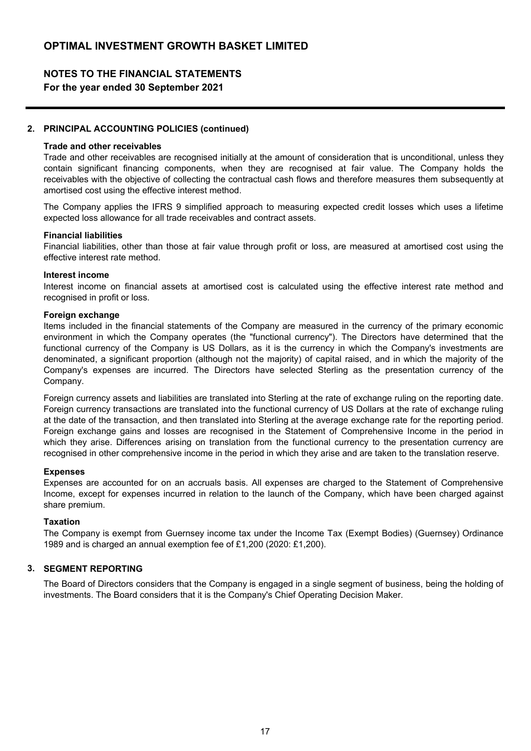## **NOTES TO THE FINANCIAL STATEMENTS For the year ended 30 September 2021**

## **2. PRINCIPAL ACCOUNTING POLICIES (continued)**

#### **Trade and other receivables**

Trade and other receivables are recognised initially at the amount of consideration that is unconditional, unless they contain significant financing components, when they are recognised at fair value. The Company holds the receivables with the objective of collecting the contractual cash flows and therefore measures them subsequently at amortised cost using the effective interest method.

The Company applies the IFRS 9 simplified approach to measuring expected credit losses which uses a lifetime expected loss allowance for all trade receivables and contract assets.

#### **Financial liabilities**

Financial liabilities, other than those at fair value through profit or loss, are measured at amortised cost using the effective interest rate method.

#### **Interest income**

Interest income on financial assets at amortised cost is calculated using the effective interest rate method and recognised in profit or loss.

#### **Foreign exchange**

Items included in the financial statements of the Company are measured in the currency of the primary economic environment in which the Company operates (the "functional currency"). The Directors have determined that the functional currency of the Company is US Dollars, as it is the currency in which the Company's investments are denominated, a significant proportion (although not the majority) of capital raised, and in which the majority of the Company's expenses are incurred. The Directors have selected Sterling as the presentation currency of the Company.

Foreign currency assets and liabilities are translated into Sterling at the rate of exchange ruling on the reporting date. Foreign currency transactions are translated into the functional currency of US Dollars at the rate of exchange ruling at the date of the transaction, and then translated into Sterling at the average exchange rate for the reporting period. Foreign exchange gains and losses are recognised in the Statement of Comprehensive Income in the period in which they arise. Differences arising on translation from the functional currency to the presentation currency are recognised in other comprehensive income in the period in which they arise and are taken to the translation reserve.

#### **Expenses**

Expenses are accounted for on an accruals basis. All expenses are charged to the Statement of Comprehensive Income, except for expenses incurred in relation to the launch of the Company, which have been charged against share premium.

#### **Taxation**

The Company is exempt from Guernsey income tax under the Income Tax (Exempt Bodies) (Guernsey) Ordinance 1989 and is charged an annual exemption fee of £1,200 (2020: £1,200).

#### **3. SEGMENT REPORTING**

The Board of Directors considers that the Company is engaged in a single segment of business, being the holding of investments. The Board considers that it is the Company's Chief Operating Decision Maker.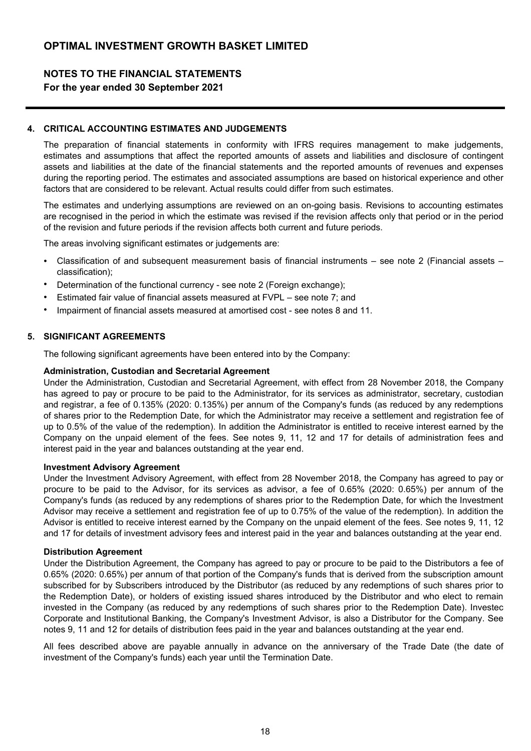## **NOTES TO THE FINANCIAL STATEMENTS For the year ended 30 September 2021**

## **4. CRITICAL ACCOUNTING ESTIMATES AND JUDGEMENTS**

The preparation of financial statements in conformity with IFRS requires management to make judgements, estimates and assumptions that affect the reported amounts of assets and liabilities and disclosure of contingent assets and liabilities at the date of the financial statements and the reported amounts of revenues and expenses during the reporting period. The estimates and associated assumptions are based on historical experience and other factors that are considered to be relevant. Actual results could differ from such estimates.

The estimates and underlying assumptions are reviewed on an on-going basis. Revisions to accounting estimates are recognised in the period in which the estimate was revised if the revision affects only that period or in the period of the revision and future periods if the revision affects both current and future periods.

The areas involving significant estimates or judgements are:

- Classification of and subsequent measurement basis of financial instruments – see note 2 (Financial assets – classification);
- Determination of the functional currency see note 2 (Foreign exchange);
- Estimated fair value of financial assets measured at FVPL see note 7; and
- Impairment of financial assets measured at amortised cost see notes 8 and 11.

## **5. SIGNIFICANT AGREEMENTS**

The following significant agreements have been entered into by the Company:

#### **Administration, Custodian and Secretarial Agreement**

Under the Administration, Custodian and Secretarial Agreement, with effect from 28 November 2018, the Company has agreed to pay or procure to be paid to the Administrator, for its services as administrator, secretary, custodian and registrar, a fee of 0.135% (2020: 0.135%) per annum of the Company's funds (as reduced by any redemptions of shares prior to the Redemption Date, for which the Administrator may receive a settlement and registration fee of up to 0.5% of the value of the redemption). In addition the Administrator is entitled to receive interest earned by the Company on the unpaid element of the fees. See notes 9, 11, 12 and 17 for details of administration fees and interest paid in the year and balances outstanding at the year end.

#### **Investment Advisory Agreement**

Under the Investment Advisory Agreement, with effect from 28 November 2018, the Company has agreed to pay or procure to be paid to the Advisor, for its services as advisor, a fee of 0.65% (2020: 0.65%) per annum of the Company's funds (as reduced by any redemptions of shares prior to the Redemption Date, for which the Investment Advisor may receive a settlement and registration fee of up to 0.75% of the value of the redemption). In addition the Advisor is entitled to receive interest earned by the Company on the unpaid element of the fees. See notes 9, 11, 12 and 17 for details of investment advisory fees and interest paid in the year and balances outstanding at the year end.

#### **Distribution Agreement**

Under the Distribution Agreement, the Company has agreed to pay or procure to be paid to the Distributors a fee of 0.65% (2020: 0.65%) per annum of that portion of the Company's funds that is derived from the subscription amount subscribed for by Subscribers introduced by the Distributor (as reduced by any redemptions of such shares prior to the Redemption Date), or holders of existing issued shares introduced by the Distributor and who elect to remain invested in the Company (as reduced by any redemptions of such shares prior to the Redemption Date). Investec Corporate and Institutional Banking, the Company's Investment Advisor, is also a Distributor for the Company. See notes 9, 11 and 12 for details of distribution fees paid in the year and balances outstanding at the year end.

All fees described above are payable annually in advance on the anniversary of the Trade Date (the date of investment of the Company's funds) each year until the Termination Date.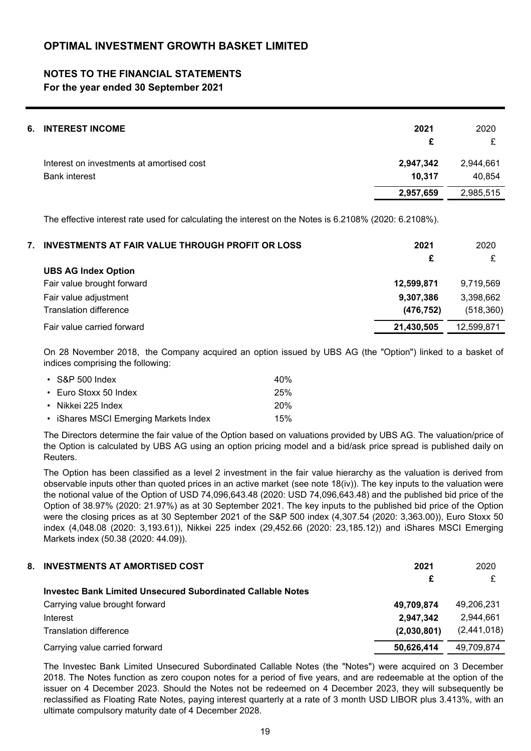# **NOTES TO THE FINANCIAL STATEMENTS For the year ended 30 September 2021**

| <b>6. INTEREST INCOME</b>                 | 2021<br>£ | 2020      |
|-------------------------------------------|-----------|-----------|
| Interest on investments at amortised cost | 2,947,342 | 2,944,661 |
| <b>Bank interest</b>                      | 10,317    | 40,854    |
|                                           | 2,957,659 | 2,985,515 |

The effective interest rate used for calculating the interest on the Notes is 6.2108% (2020: 6.2108%).

| <b>INVESTMENTS AT FAIR VALUE THROUGH PROFIT OR LOSS</b> | 2021<br>£  | 2020       |
|---------------------------------------------------------|------------|------------|
| <b>UBS AG Index Option</b>                              |            |            |
| Fair value brought forward                              | 12,599,871 | 9,719,569  |
| Fair value adjustment                                   | 9,307,386  | 3,398,662  |
| Translation difference                                  | (476, 752) | (518, 360) |
| Fair value carried forward                              | 21,430,505 | 12,599,871 |

On 28 November 2018, the Company acquired an option issued by UBS AG (the "Option") linked to a basket of indices comprising the following:

| $\cdot$ S&P 500 Index                 | 40%        |
|---------------------------------------|------------|
| $\cdot$ Euro Stoxx 50 Index           | 25%        |
| $\cdot$ Nikkei 225 Index              | <b>20%</b> |
| • iShares MSCI Emerging Markets Index | 15%        |

The Directors determine the fair value of the Option based on valuations provided by UBS AG. The valuation/price of the Option is calculated by UBS AG using an option pricing model and a bid/ask price spread is published daily on Reuters.

The Option has been classified as a level 2 investment in the fair value hierarchy as the valuation is derived from observable inputs other than quoted prices in an active market (see note 18(iv)). The key inputs to the valuation were the notional value of the Option of USD 74,096,643.48 (2020: USD 74,096,643.48) and the published bid price of the Option of 38.97% (2020: 21.97%) as at 30 September 2021. The key inputs to the published bid price of the Option were the closing prices as at 30 September 2021 of the S&P 500 index (4,307.54 (2020: 3,363.00)), Euro Stoxx 50 index (4,048.08 (2020: 3,193.61)), Nikkei 225 index (29,452.66 (2020: 23,185.12)) and iShares MSCI Emerging Markets index (50.38 (2020: 44.09)).

| 8. INVESTMENTS AT AMORTISED COST                                   | 2021        | 2020        |
|--------------------------------------------------------------------|-------------|-------------|
|                                                                    |             |             |
| <b>Investec Bank Limited Unsecured Subordinated Callable Notes</b> |             |             |
| Carrying value brought forward                                     | 49,709,874  | 49,206,231  |
| Interest                                                           | 2,947,342   | 2.944.661   |
| Translation difference                                             | (2,030,801) | (2,441,018) |
| Carrying value carried forward                                     | 50,626,414  | 49.709.874  |

The Investec Bank Limited Unsecured Subordinated Callable Notes (the "Notes") were acquired on 3 December 2018. The Notes function as zero coupon notes for a period of five years, and are redeemable at the option of the issuer on 4 December 2023. Should the Notes not be redeemed on 4 December 2023, they will subsequently be reclassified as Floating Rate Notes, paying interest quarterly at a rate of 3 month USD LIBOR plus 3.413%, with an ultimate compulsory maturity date of 4 December 2028.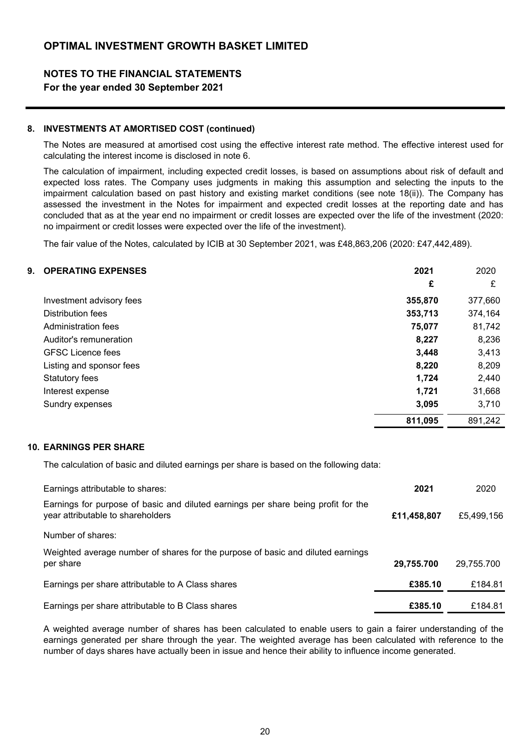## **NOTES TO THE FINANCIAL STATEMENTS For the year ended 30 September 2021**

## **8. INVESTMENTS AT AMORTISED COST (continued)**

The Notes are measured at amortised cost using the effective interest rate method. The effective interest used for calculating the interest income is disclosed in note 6.

The calculation of impairment, including expected credit losses, is based on assumptions about risk of default and expected loss rates. The Company uses judgments in making this assumption and selecting the inputs to the impairment calculation based on past history and existing market conditions (see note 18(ii)). The Company has assessed the investment in the Notes for impairment and expected credit losses at the reporting date and has concluded that as at the year end no impairment or credit losses are expected over the life of the investment (2020: no impairment or credit losses were expected over the life of the investment).

The fair value of the Notes, calculated by ICIB at 30 September 2021, was £48,863,206 (2020: £47,442,489).

| <b>9. OPERATING EXPENSES</b> | 2021    | 2020    |
|------------------------------|---------|---------|
|                              | £       | £       |
| Investment advisory fees     | 355,870 | 377,660 |
| Distribution fees            | 353,713 | 374,164 |
| Administration fees          | 75,077  | 81,742  |
| Auditor's remuneration       | 8,227   | 8,236   |
| <b>GFSC Licence fees</b>     | 3,448   | 3,413   |
| Listing and sponsor fees     | 8,220   | 8,209   |
| <b>Statutory fees</b>        | 1,724   | 2,440   |
| Interest expense             | 1,721   | 31,668  |
| Sundry expenses              | 3,095   | 3,710   |
|                              | 811,095 | 891,242 |

## **10. EARNINGS PER SHARE**

The calculation of basic and diluted earnings per share is based on the following data:

| Earnings attributable to shares:                                                                                       | 2021        | 2020       |
|------------------------------------------------------------------------------------------------------------------------|-------------|------------|
| Earnings for purpose of basic and diluted earnings per share being profit for the<br>year attributable to shareholders | £11,458,807 | £5,499,156 |
| Number of shares:                                                                                                      |             |            |
| Weighted average number of shares for the purpose of basic and diluted earnings<br>per share                           | 29,755.700  | 29,755.700 |
| Earnings per share attributable to A Class shares                                                                      | £385.10     | £184.81    |
| Earnings per share attributable to B Class shares                                                                      | £385.10     | £184.81    |

A weighted average number of shares has been calculated to enable users to gain a fairer understanding of the earnings generated per share through the year. The weighted average has been calculated with reference to the number of days shares have actually been in issue and hence their ability to influence income generated.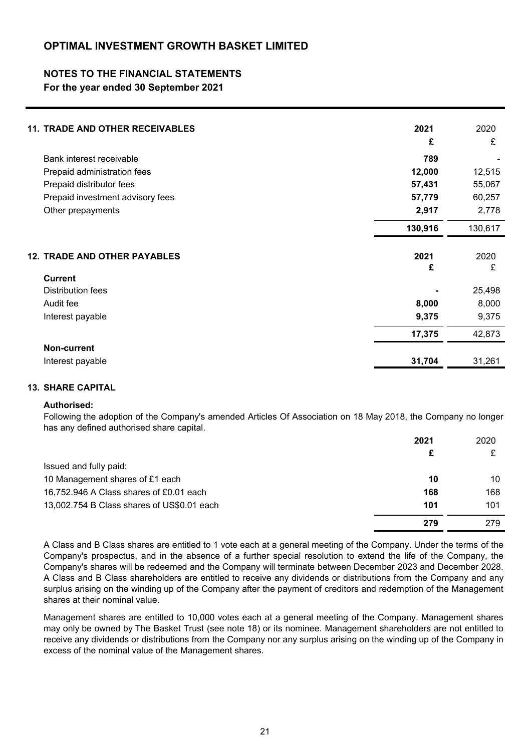# **NOTES TO THE FINANCIAL STATEMENTS For the year ended 30 September 2021**

| <b>11. TRADE AND OTHER RECEIVABLES</b> | 2021    | 2020    |
|----------------------------------------|---------|---------|
|                                        | £       | £       |
| Bank interest receivable               | 789     |         |
| Prepaid administration fees            | 12,000  | 12,515  |
| Prepaid distributor fees               | 57,431  | 55,067  |
| Prepaid investment advisory fees       | 57,779  | 60,257  |
| Other prepayments                      | 2,917   | 2,778   |
|                                        | 130,916 | 130,617 |
| <b>12. TRADE AND OTHER PAYABLES</b>    | 2021    | 2020    |
| <b>Current</b>                         | £       | £       |
| Distribution fees                      |         | 25,498  |
| Audit fee                              | 8,000   | 8,000   |
| Interest payable                       | 9,375   | 9,375   |
|                                        | 17,375  | 42,873  |
| Non-current                            |         |         |
| Interest payable                       | 31,704  | 31,261  |
|                                        |         |         |

## **13. SHARE CAPITAL**

## **Authorised:**

Following the adoption of the Company's amended Articles Of Association on 18 May 2018, the Company no longer has any defined authorised share capital.

|                                            | 2021 | 2020 |
|--------------------------------------------|------|------|
|                                            | £    |      |
| Issued and fully paid:                     |      |      |
| 10 Management shares of £1 each            | 10   | 10   |
| 16,752.946 A Class shares of £0.01 each    | 168  | 168  |
| 13,002.754 B Class shares of US\$0.01 each | 101  | 101  |
|                                            | 279  | 279  |

A Class and B Class shares are entitled to 1 vote each at a general meeting of the Company. Under the terms of the Company's prospectus, and in the absence of a further special resolution to extend the life of the Company, the Company's shares will be redeemed and the Company will terminate between December 2023 and December 2028. A Class and B Class shareholders are entitled to receive any dividends or distributions from the Company and any surplus arising on the winding up of the Company after the payment of creditors and redemption of the Management shares at their nominal value.

Management shares are entitled to 10,000 votes each at a general meeting of the Company. Management shares may only be owned by The Basket Trust (see note 18) or its nominee. Management shareholders are not entitled to receive any dividends or distributions from the Company nor any surplus arising on the winding up of the Company in excess of the nominal value of the Management shares.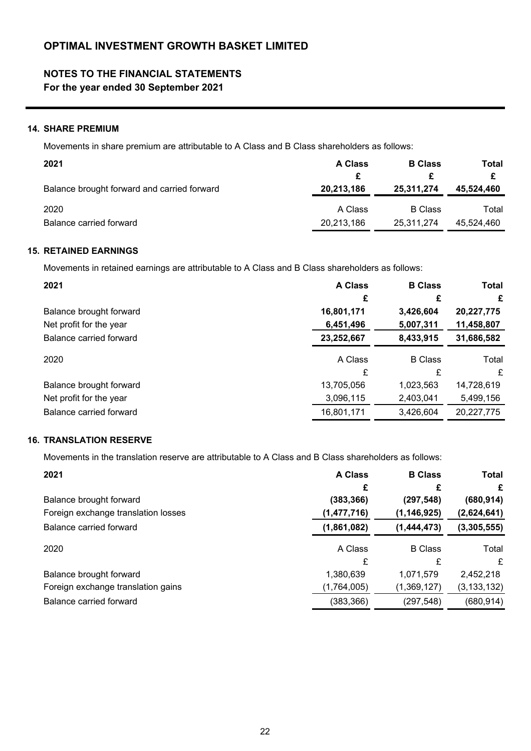# **NOTES TO THE FINANCIAL STATEMENTS For the year ended 30 September 2021**

## **14. SHARE PREMIUM**

Movements in share premium are attributable to A Class and B Class shareholders as follows:

| 2021                                        | <b>A Class</b> | <b>B</b> Class | Total      |
|---------------------------------------------|----------------|----------------|------------|
| Balance brought forward and carried forward | 20,213,186     | 25,311,274     | 45,524,460 |
| 2020                                        | A Class        | <b>B</b> Class | Total      |
| Balance carried forward                     | 20,213,186     | 25,311,274     | 45.524.460 |

# **15. RETAINED EARNINGS**

Movements in retained earnings are attributable to A Class and B Class shareholders as follows:

| 2021                    | <b>A Class</b> | <b>B</b> Class | Total      |
|-------------------------|----------------|----------------|------------|
|                         | £              | £              | £          |
| Balance brought forward | 16,801,171     | 3,426,604      | 20,227,775 |
| Net profit for the year | 6,451,496      | 5,007,311      | 11,458,807 |
| Balance carried forward | 23,252,667     | 8,433,915      | 31,686,582 |
| 2020                    | A Class        | <b>B</b> Class | Total      |
|                         | £              | £              | £          |
| Balance brought forward | 13,705,056     | 1,023,563      | 14,728,619 |
| Net profit for the year | 3,096,115      | 2,403,041      | 5,499,156  |
| Balance carried forward | 16,801,171     | 3,426,604      | 20,227,775 |

## **16. TRANSLATION RESERVE**

Movements in the translation reserve are attributable to A Class and B Class shareholders as follows:

| 2021                                | <b>A Class</b> | <b>B</b> Class | Total         |
|-------------------------------------|----------------|----------------|---------------|
|                                     | £              | £              | £             |
| Balance brought forward             | (383, 366)     | (297, 548)     | (680, 914)    |
| Foreign exchange translation losses | (1,477,716)    | (1, 146, 925)  | (2,624,641)   |
| Balance carried forward             | (1,861,082)    | (1,444,473)    | (3,305,555)   |
| 2020                                | A Class        | <b>B</b> Class | Total         |
|                                     | £              | £              | £             |
| Balance brought forward             | 1,380,639      | 1,071,579      | 2,452,218     |
| Foreign exchange translation gains  | (1,764,005)    | (1,369,127)    | (3, 133, 132) |
| Balance carried forward             | (383, 366)     | (297, 548)     | (680, 914)    |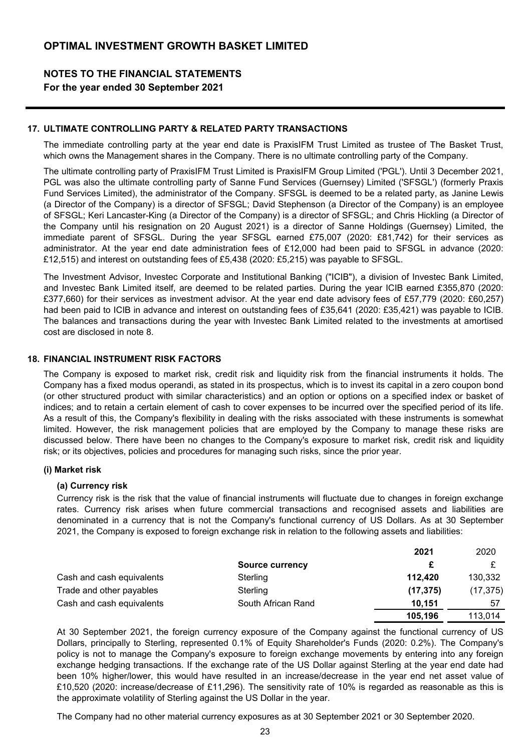# **NOTES TO THE FINANCIAL STATEMENTS For the year ended 30 September 2021**

## **17. ULTIMATE CONTROLLING PARTY & RELATED PARTY TRANSACTIONS**

The immediate controlling party at the year end date is PraxisIFM Trust Limited as trustee of The Basket Trust, which owns the Management shares in the Company. There is no ultimate controlling party of the Company.

The ultimate controlling party of PraxisIFM Trust Limited is PraxisIFM Group Limited ('PGL'). Until 3 December 2021, PGL was also the ultimate controlling party of Sanne Fund Services (Guernsey) Limited ('SFSGL') (formerly Praxis Fund Services Limited), the administrator of the Company. SFSGL is deemed to be a related party, as Janine Lewis (a Director of the Company) is a director of SFSGL; David Stephenson (a Director of the Company) is an employee of SFSGL; Keri Lancaster-King (a Director of the Company) is a director of SFSGL; and Chris Hickling (a Director of the Company until his resignation on 20 August 2021) is a director of Sanne Holdings (Guernsey) Limited, the immediate parent of SFSGL. During the year SFSGL earned £75,007 (2020: £81,742) for their services as administrator. At the year end date administration fees of £12,000 had been paid to SFSGL in advance (2020: £12,515) and interest on outstanding fees of £5,438 (2020: £5,215) was payable to SFSGL.

The Investment Advisor, Investec Corporate and Institutional Banking ("ICIB"), a division of Investec Bank Limited, and Investec Bank Limited itself, are deemed to be related parties. During the year ICIB earned £355,870 (2020: £377,660) for their services as investment advisor. At the year end date advisory fees of £57,779 (2020: £60,257) had been paid to ICIB in advance and interest on outstanding fees of £35,641 (2020: £35,421) was payable to ICIB. The balances and transactions during the year with Investec Bank Limited related to the investments at amortised cost are disclosed in note 8.

## **18. FINANCIAL INSTRUMENT RISK FACTORS**

The Company is exposed to market risk, credit risk and liquidity risk from the financial instruments it holds. The Company has a fixed modus operandi, as stated in its prospectus, which is to invest its capital in a zero coupon bond (or other structured product with similar characteristics) and an option or options on a specified index or basket of indices; and to retain a certain element of cash to cover expenses to be incurred over the specified period of its life. As a result of this, the Company's flexibility in dealing with the risks associated with these instruments is somewhat limited. However, the risk management policies that are employed by the Company to manage these risks are discussed below. There have been no changes to the Company's exposure to market risk, credit risk and liquidity risk; or its objectives, policies and procedures for managing such risks, since the prior year.

#### **(i) Market risk**

## **(a) Currency risk**

Currency risk is the risk that the value of financial instruments will fluctuate due to changes in foreign exchange rates. Currency risk arises when future commercial transactions and recognised assets and liabilities are denominated in a currency that is not the Company's functional currency of US Dollars. As at 30 September 2021, the Company is exposed to foreign exchange risk in relation to the following assets and liabilities:

|                           |                        | 2021      | 2020      |
|---------------------------|------------------------|-----------|-----------|
|                           | <b>Source currency</b> |           |           |
| Cash and cash equivalents | Sterling               | 112.420   | 130,332   |
| Trade and other payables  | Sterling               | (17, 375) | (17, 375) |
| Cash and cash equivalents | South African Rand     | 10.151    | 57        |
|                           |                        | 105,196   | 113,014   |

At 30 September 2021, the foreign currency exposure of the Company against the functional currency of US Dollars, principally to Sterling, represented 0.1% of Equity Shareholder's Funds (2020: 0.2%). The Company's policy is not to manage the Company's exposure to foreign exchange movements by entering into any foreign exchange hedging transactions. If the exchange rate of the US Dollar against Sterling at the year end date had been 10% higher/lower, this would have resulted in an increase/decrease in the year end net asset value of £10,520 (2020: increase/decrease of £11,296). The sensitivity rate of 10% is regarded as reasonable as this is the approximate volatility of Sterling against the US Dollar in the year.

The Company had no other material currency exposures as at 30 September 2021 or 30 September 2020.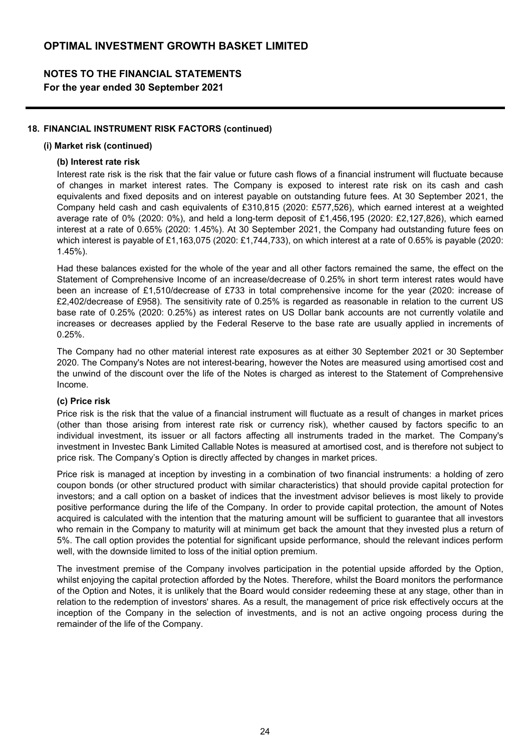# **NOTES TO THE FINANCIAL STATEMENTS For the year ended 30 September 2021**

## **18. FINANCIAL INSTRUMENT RISK FACTORS (continued)**

## **(i) Market risk (continued)**

## **(b) Interest rate risk**

Interest rate risk is the risk that the fair value or future cash flows of a financial instrument will fluctuate because of changes in market interest rates. The Company is exposed to interest rate risk on its cash and cash equivalents and fixed deposits and on interest payable on outstanding future fees. At 30 September 2021, the Company held cash and cash equivalents of £310,815 (2020: £577,526), which earned interest at a weighted average rate of 0% (2020: 0%), and held a long-term deposit of £1,456,195 (2020: £2,127,826), which earned interest at a rate of 0.65% (2020: 1.45%). At 30 September 2021, the Company had outstanding future fees on which interest is payable of £1,163,075 (2020: £1,744,733), on which interest at a rate of 0.65% is payable (2020: 1.45%).

Had these balances existed for the whole of the year and all other factors remained the same, the effect on the Statement of Comprehensive Income of an increase/decrease of 0.25% in short term interest rates would have been an increase of £1,510/decrease of £733 in total comprehensive income for the year (2020: increase of £2,402/decrease of £958). The sensitivity rate of 0.25% is regarded as reasonable in relation to the current US base rate of 0.25% (2020: 0.25%) as interest rates on US Dollar bank accounts are not currently volatile and increases or decreases applied by the Federal Reserve to the base rate are usually applied in increments of 0.25%.

The Company had no other material interest rate exposures as at either 30 September 2021 or 30 September 2020. The Company's Notes are not interest-bearing, however the Notes are measured using amortised cost and the unwind of the discount over the life of the Notes is charged as interest to the Statement of Comprehensive Income.

## **(c) Price risk**

Price risk is the risk that the value of a financial instrument will fluctuate as a result of changes in market prices (other than those arising from interest rate risk or currency risk), whether caused by factors specific to an individual investment, its issuer or all factors affecting all instruments traded in the market. The Company's investment in Investec Bank Limited Callable Notes is measured at amortised cost, and is therefore not subject to price risk. The Company's Option is directly affected by changes in market prices.

Price risk is managed at inception by investing in a combination of two financial instruments: a holding of zero coupon bonds (or other structured product with similar characteristics) that should provide capital protection for investors; and a call option on a basket of indices that the investment advisor believes is most likely to provide positive performance during the life of the Company. In order to provide capital protection, the amount of Notes acquired is calculated with the intention that the maturing amount will be sufficient to guarantee that all investors who remain in the Company to maturity will at minimum get back the amount that they invested plus a return of 5%. The call option provides the potential for significant upside performance, should the relevant indices perform well, with the downside limited to loss of the initial option premium.

The investment premise of the Company involves participation in the potential upside afforded by the Option, whilst enjoying the capital protection afforded by the Notes. Therefore, whilst the Board monitors the performance of the Option and Notes, it is unlikely that the Board would consider redeeming these at any stage, other than in relation to the redemption of investors' shares. As a result, the management of price risk effectively occurs at the inception of the Company in the selection of investments, and is not an active ongoing process during the remainder of the life of the Company.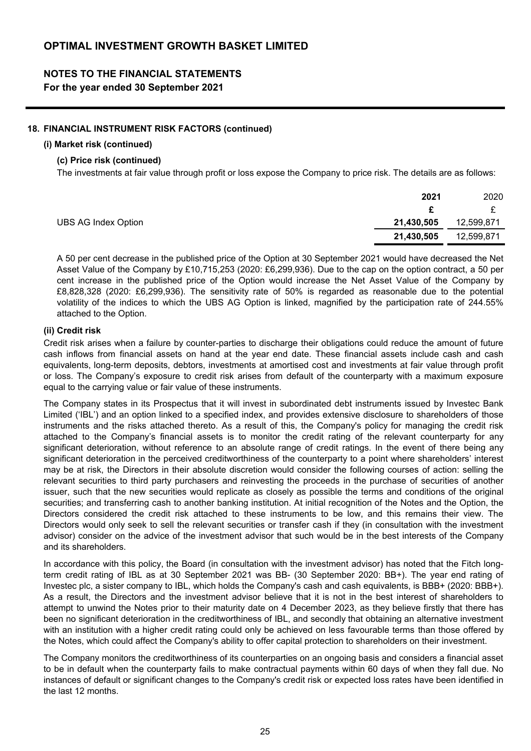# **NOTES TO THE FINANCIAL STATEMENTS For the year ended 30 September 2021**

## **18. FINANCIAL INSTRUMENT RISK FACTORS (continued)**

#### **(i) Market risk (continued)**

## **(c) Price risk (continued)**

The investments at fair value through profit or loss expose the Company to price risk. The details are as follows:

|                     | 2021       | 2020       |
|---------------------|------------|------------|
|                     |            |            |
| UBS AG Index Option | 21,430,505 | 12,599,871 |
|                     | 21,430,505 | 12,599,871 |

A 50 per cent decrease in the published price of the Option at 30 September 2021 would have decreased the Net Asset Value of the Company by £10,715,253 (2020: £6,299,936). Due to the cap on the option contract, a 50 per cent increase in the published price of the Option would increase the Net Asset Value of the Company by £8,828,328 (2020: £6,299,936). The sensitivity rate of 50% is regarded as reasonable due to the potential volatility of the indices to which the UBS AG Option is linked, magnified by the participation rate of 244.55% attached to the Option.

## **(ii) Credit risk**

Credit risk arises when a failure by counter-parties to discharge their obligations could reduce the amount of future cash inflows from financial assets on hand at the year end date. These financial assets include cash and cash equivalents, long-term deposits, debtors, investments at amortised cost and investments at fair value through profit or loss. The Company's exposure to credit risk arises from default of the counterparty with a maximum exposure equal to the carrying value or fair value of these instruments.

The Company states in its Prospectus that it will invest in subordinated debt instruments issued by Investec Bank Limited ('IBL') and an option linked to a specified index, and provides extensive disclosure to shareholders of those instruments and the risks attached thereto. As a result of this, the Company's policy for managing the credit risk attached to the Company's financial assets is to monitor the credit rating of the relevant counterparty for any significant deterioration, without reference to an absolute range of credit ratings. In the event of there being any significant deterioration in the perceived creditworthiness of the counterparty to a point where shareholders' interest may be at risk, the Directors in their absolute discretion would consider the following courses of action: selling the relevant securities to third party purchasers and reinvesting the proceeds in the purchase of securities of another issuer, such that the new securities would replicate as closely as possible the terms and conditions of the original securities; and transferring cash to another banking institution. At initial recognition of the Notes and the Option, the Directors considered the credit risk attached to these instruments to be low, and this remains their view. The Directors would only seek to sell the relevant securities or transfer cash if they (in consultation with the investment advisor) consider on the advice of the investment advisor that such would be in the best interests of the Company and its shareholders.

In accordance with this policy, the Board (in consultation with the investment advisor) has noted that the Fitch longterm credit rating of IBL as at 30 September 2021 was BB- (30 September 2020: BB+). The year end rating of Investec plc, a sister company to IBL, which holds the Company's cash and cash equivalents, is BBB+ (2020: BBB+). As a result, the Directors and the investment advisor believe that it is not in the best interest of shareholders to attempt to unwind the Notes prior to their maturity date on 4 December 2023, as they believe firstly that there has been no significant deterioration in the creditworthiness of IBL, and secondly that obtaining an alternative investment with an institution with a higher credit rating could only be achieved on less favourable terms than those offered by the Notes, which could affect the Company's ability to offer capital protection to shareholders on their investment.

The Company monitors the creditworthiness of its counterparties on an ongoing basis and considers a financial asset to be in default when the counterparty fails to make contractual payments within 60 days of when they fall due. No instances of default or significant changes to the Company's credit risk or expected loss rates have been identified in the last 12 months.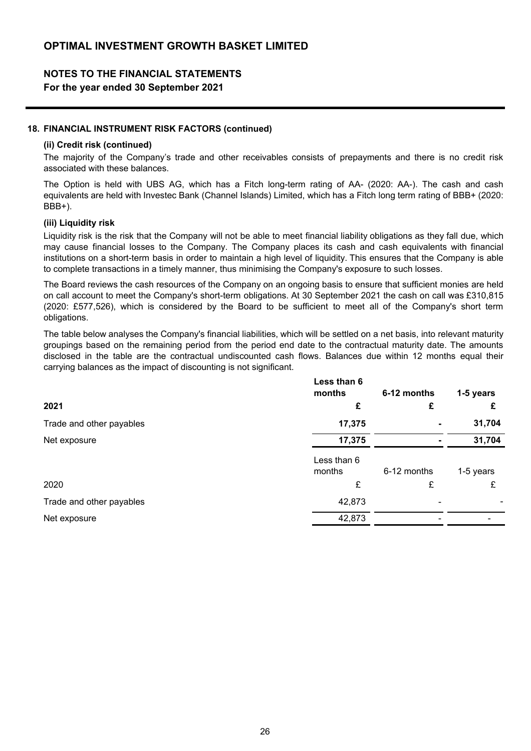## **NOTES TO THE FINANCIAL STATEMENTS For the year ended 30 September 2021**

## **18. FINANCIAL INSTRUMENT RISK FACTORS (continued)**

## **(ii) Credit risk (continued)**

The majority of the Company's trade and other receivables consists of prepayments and there is no credit risk associated with these balances.

The Option is held with UBS AG, which has a Fitch long-term rating of AA- (2020: AA-). The cash and cash equivalents are held with Investec Bank (Channel Islands) Limited, which has a Fitch long term rating of BBB+ (2020: BBB+).

## **(iii) Liquidity risk**

Liquidity risk is the risk that the Company will not be able to meet financial liability obligations as they fall due, which may cause financial losses to the Company. The Company places its cash and cash equivalents with financial institutions on a short-term basis in order to maintain a high level of liquidity. This ensures that the Company is able to complete transactions in a timely manner, thus minimising the Company's exposure to such losses.

The Board reviews the cash resources of the Company on an ongoing basis to ensure that sufficient monies are held on call account to meet the Company's short-term obligations. At 30 September 2021 the cash on call was £310,815 (2020: £577,526), which is considered by the Board to be sufficient to meet all of the Company's short term obligations.

The table below analyses the Company's financial liabilities, which will be settled on a net basis, into relevant maturity groupings based on the remaining period from the period end date to the contractual maturity date. The amounts disclosed in the table are the contractual undiscounted cash flows. Balances due within 12 months equal their carrying balances as the impact of discounting is not significant.

|                          | Less than 6<br>months | 6-12 months | 1-5 years |
|--------------------------|-----------------------|-------------|-----------|
| 2021                     | £                     | £           | £         |
| Trade and other payables | 17,375                | ۰           | 31,704    |
| Net exposure             | 17,375                |             | 31,704    |
|                          | Less than 6<br>months | 6-12 months | 1-5 years |
| 2020                     | £                     | £           | £         |
| Trade and other payables | 42,873                |             |           |
| Net exposure             | 42,873                |             |           |
|                          |                       |             |           |